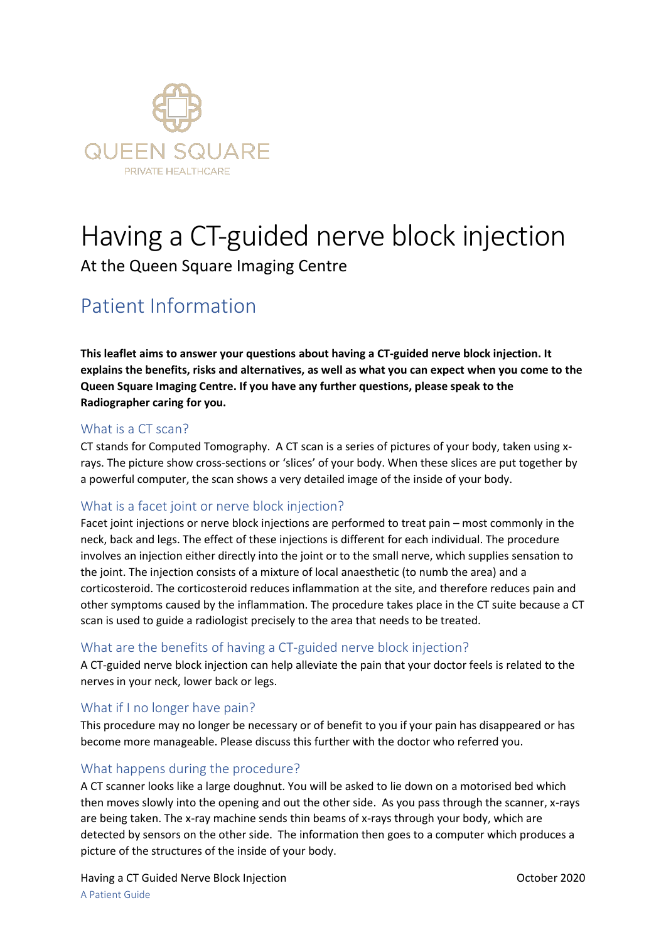

# Having a CT-guided nerve block injection

At the Queen Square Imaging Centre

# Patient Information

**This leaflet aims to answer your questions about having a CT-guided nerve block injection. It explains the benefits, risks and alternatives, as well as what you can expect when you come to the Queen Square Imaging Centre. If you have any further questions, please speak to the Radiographer caring for you.** 

#### What is a CT scan?

CT stands for Computed Tomography. A CT scan is a series of pictures of your body, taken using xrays. The picture show cross-sections or 'slices' of your body. When these slices are put together by a powerful computer, the scan shows a very detailed image of the inside of your body.

# What is a facet joint or nerve block injection?

Facet joint injections or nerve block injections are performed to treat pain – most commonly in the neck, back and legs. The effect of these injections is different for each individual. The procedure involves an injection either directly into the joint or to the small nerve, which supplies sensation to the joint. The injection consists of a mixture of local anaesthetic (to numb the area) and a corticosteroid. The corticosteroid reduces inflammation at the site, and therefore reduces pain and other symptoms caused by the inflammation. The procedure takes place in the CT suite because a CT scan is used to guide a radiologist precisely to the area that needs to be treated.

#### What are the benefits of having a CT-guided nerve block injection?

A CT-guided nerve block injection can help alleviate the pain that your doctor feels is related to the nerves in your neck, lower back or legs.

# What if I no longer have pain?

This procedure may no longer be necessary or of benefit to you if your pain has disappeared or has become more manageable. Please discuss this further with the doctor who referred you.

# What happens during the procedure?

A CT scanner looks like a large doughnut. You will be asked to lie down on a motorised bed which then moves slowly into the opening and out the other side. As you pass through the scanner, x-rays are being taken. The x-ray machine sends thin beams of x-rays through your body, which are detected by sensors on the other side. The information then goes to a computer which produces a picture of the structures of the inside of your body.

Having a CT Guided Nerve Block Injection **CET Access 2020** October 2020 A Patient Guide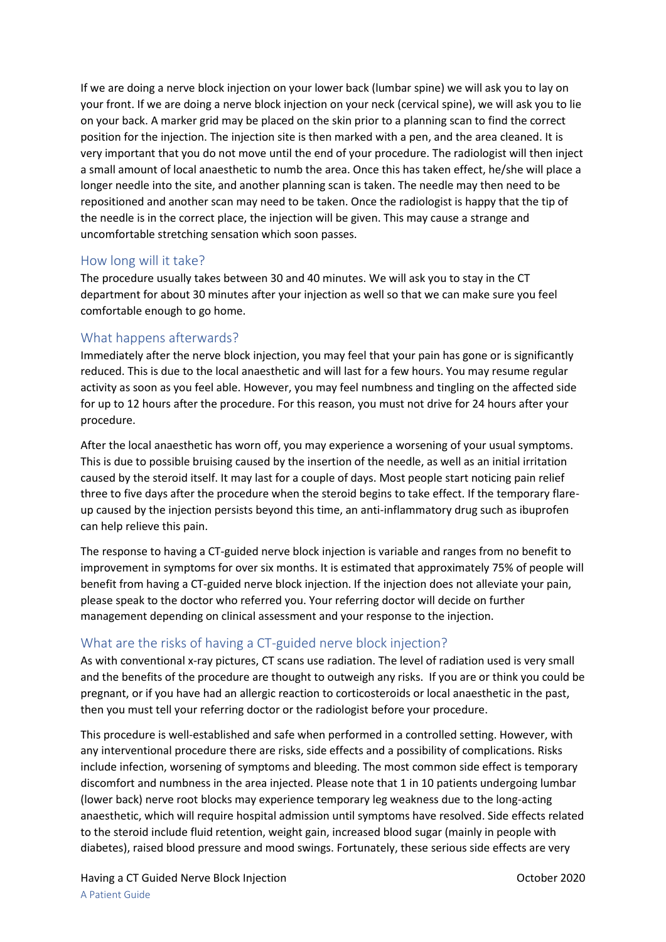If we are doing a nerve block injection on your lower back (lumbar spine) we will ask you to lay on your front. If we are doing a nerve block injection on your neck (cervical spine), we will ask you to lie on your back. A marker grid may be placed on the skin prior to a planning scan to find the correct position for the injection. The injection site is then marked with a pen, and the area cleaned. It is very important that you do not move until the end of your procedure. The radiologist will then inject a small amount of local anaesthetic to numb the area. Once this has taken effect, he/she will place a longer needle into the site, and another planning scan is taken. The needle may then need to be repositioned and another scan may need to be taken. Once the radiologist is happy that the tip of the needle is in the correct place, the injection will be given. This may cause a strange and uncomfortable stretching sensation which soon passes.

#### How long will it take?

The procedure usually takes between 30 and 40 minutes. We will ask you to stay in the CT department for about 30 minutes after your injection as well so that we can make sure you feel comfortable enough to go home.

#### What happens afterwards?

Immediately after the nerve block injection, you may feel that your pain has gone or is significantly reduced. This is due to the local anaesthetic and will last for a few hours. You may resume regular activity as soon as you feel able. However, you may feel numbness and tingling on the affected side for up to 12 hours after the procedure. For this reason, you must not drive for 24 hours after your procedure.

After the local anaesthetic has worn off, you may experience a worsening of your usual symptoms. This is due to possible bruising caused by the insertion of the needle, as well as an initial irritation caused by the steroid itself. It may last for a couple of days. Most people start noticing pain relief three to five days after the procedure when the steroid begins to take effect. If the temporary flareup caused by the injection persists beyond this time, an anti-inflammatory drug such as ibuprofen can help relieve this pain.

The response to having a CT-guided nerve block injection is variable and ranges from no benefit to improvement in symptoms for over six months. It is estimated that approximately 75% of people will benefit from having a CT-guided nerve block injection. If the injection does not alleviate your pain, please speak to the doctor who referred you. Your referring doctor will decide on further management depending on clinical assessment and your response to the injection.

# What are the risks of having a CT-guided nerve block injection?

As with conventional x-ray pictures, CT scans use radiation. The level of radiation used is very small and the benefits of the procedure are thought to outweigh any risks. If you are or think you could be pregnant, or if you have had an allergic reaction to corticosteroids or local anaesthetic in the past, then you must tell your referring doctor or the radiologist before your procedure.

This procedure is well-established and safe when performed in a controlled setting. However, with any interventional procedure there are risks, side effects and a possibility of complications. Risks include infection, worsening of symptoms and bleeding. The most common side effect is temporary discomfort and numbness in the area injected. Please note that 1 in 10 patients undergoing lumbar (lower back) nerve root blocks may experience temporary leg weakness due to the long-acting anaesthetic, which will require hospital admission until symptoms have resolved. Side effects related to the steroid include fluid retention, weight gain, increased blood sugar (mainly in people with diabetes), raised blood pressure and mood swings. Fortunately, these serious side effects are very